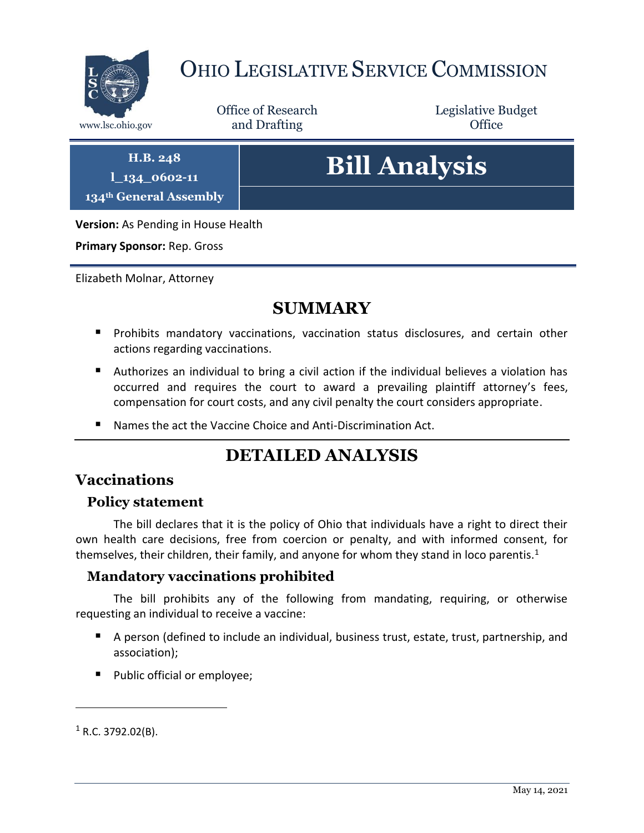

# OHIO LEGISLATIVE SERVICE COMMISSION

Office of Research www.lsc.ohio.gov **and Drafting Office** 

Legislative Budget

**H.B. 248**

**l\_134\_0602-11**

**134th General Assembly**

**Bill Analysis**

**Version:** As Pending in House Health

**Primary Sponsor:** Rep. Gross

Elizabeth Molnar, Attorney

## **SUMMARY**

- **Prohibits mandatory vaccinations, vaccination status disclosures, and certain other** actions regarding vaccinations.
- Authorizes an individual to bring a civil action if the individual believes a violation has occurred and requires the court to award a prevailing plaintiff attorney's fees, compensation for court costs, and any civil penalty the court considers appropriate.
- Names the act the Vaccine Choice and Anti-Discrimination Act.

# **DETAILED ANALYSIS**

## **Vaccinations**

#### **Policy statement**

The bill declares that it is the policy of Ohio that individuals have a right to direct their own health care decisions, free from coercion or penalty, and with informed consent, for themselves, their children, their family, and anyone for whom they stand in loco parentis.<sup>1</sup>

#### **Mandatory vaccinations prohibited**

The bill prohibits any of the following from mandating, requiring, or otherwise requesting an individual to receive a vaccine:

- A person (defined to include an individual, business trust, estate, trust, partnership, and association);
- **Public official or employee;**

 $1$  R.C. 3792.02(B).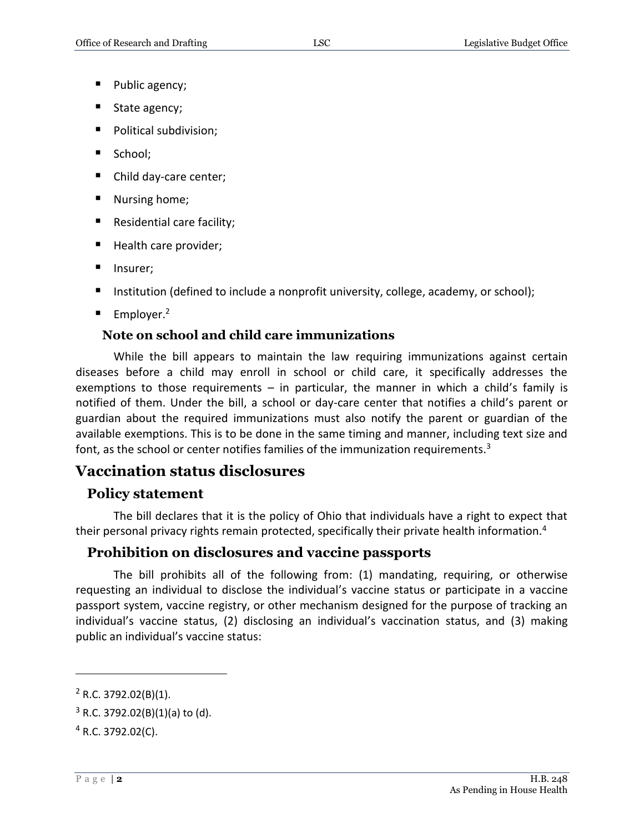- **Public agency;**
- State agency;
- **Political subdivision;**
- School;
- Child day-care center;
- Nursing home;
- Residential care facility;
- Health care provider;
- **Insurer;**
- Institution (defined to include a nonprofit university, college, academy, or school);
- Employer.<sup>2</sup>

## **Note on school and child care immunizations**

While the bill appears to maintain the law requiring immunizations against certain diseases before a child may enroll in school or child care, it specifically addresses the exemptions to those requirements  $-$  in particular, the manner in which a child's family is notified of them. Under the bill, a school or day-care center that notifies a child's parent or guardian about the required immunizations must also notify the parent or guardian of the available exemptions. This is to be done in the same timing and manner, including text size and font, as the school or center notifies families of the immunization requirements.<sup>3</sup>

## **Vaccination status disclosures**

## **Policy statement**

The bill declares that it is the policy of Ohio that individuals have a right to expect that their personal privacy rights remain protected, specifically their private health information.<sup>4</sup>

## **Prohibition on disclosures and vaccine passports**

The bill prohibits all of the following from: (1) mandating, requiring, or otherwise requesting an individual to disclose the individual's vaccine status or participate in a vaccine passport system, vaccine registry, or other mechanism designed for the purpose of tracking an individual's vaccine status, (2) disclosing an individual's vaccination status, and (3) making public an individual's vaccine status:

 $2$  R.C. 3792.02(B)(1).

 $3$  R.C. 3792.02(B)(1)(a) to (d).

 $4$  R.C. 3792.02(C).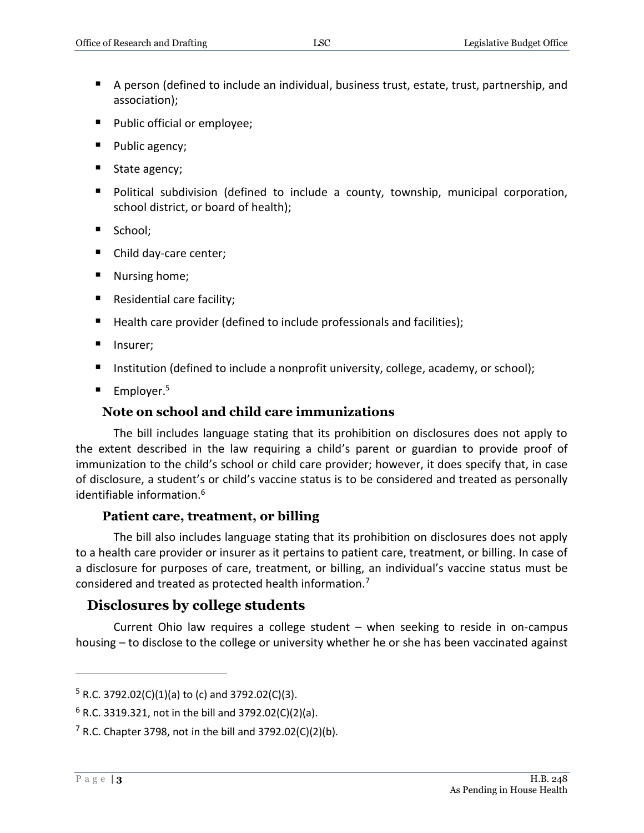- A person (defined to include an individual, business trust, estate, trust, partnership, and association);
- **Public official or employee;**
- Public agency;
- State agency;
- Political subdivision (defined to include a county, township, municipal corporation, school district, or board of health);
- School:
- Child day-care center;
- Nursing home;
- Residential care facility;
- Health care provider (defined to include professionals and facilities);
- **Insurer;**
- Institution (defined to include a nonprofit university, college, academy, or school);
- Employer.<sup>5</sup>

### **Note on school and child care immunizations**

The bill includes language stating that its prohibition on disclosures does not apply to the extent described in the law requiring a child's parent or guardian to provide proof of immunization to the child's school or child care provider; however, it does specify that, in case of disclosure, a student's or child's vaccine status is to be considered and treated as personally identifiable information.<sup>6</sup>

#### **Patient care, treatment, or billing**

The bill also includes language stating that its prohibition on disclosures does not apply to a health care provider or insurer as it pertains to patient care, treatment, or billing. In case of a disclosure for purposes of care, treatment, or billing, an individual's vaccine status must be considered and treated as protected health information.<sup>7</sup>

## **Disclosures by college students**

Current Ohio law requires a college student – when seeking to reside in on-campus housing – to disclose to the college or university whether he or she has been vaccinated against

 $5$  R.C. 3792.02(C)(1)(a) to (c) and 3792.02(C)(3).

 $6$  R.C. 3319.321, not in the bill and 3792.02(C)(2)(a).

 $7$  R.C. Chapter 3798, not in the bill and 3792.02(C)(2)(b).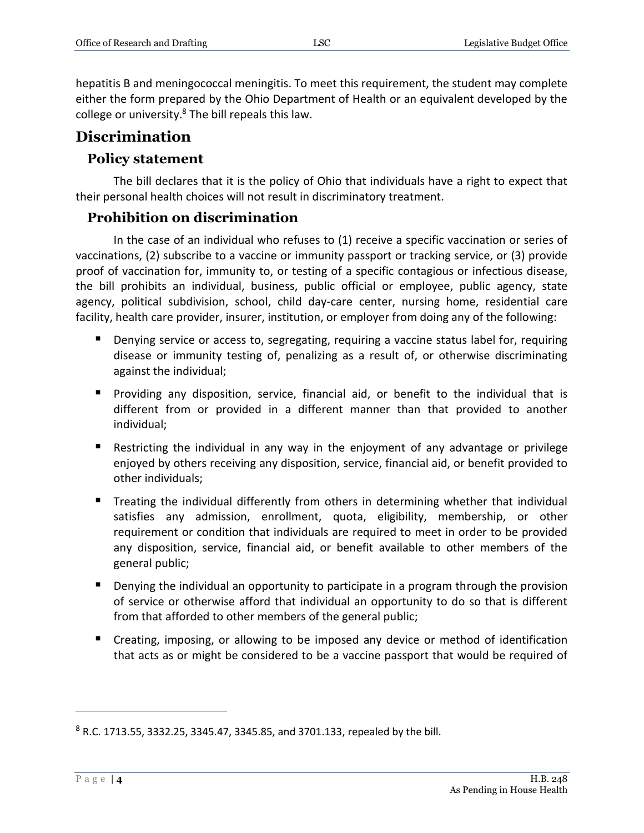hepatitis B and meningococcal meningitis. To meet this requirement, the student may complete either the form prepared by the Ohio Department of Health or an equivalent developed by the college or university. $8$  The bill repeals this law.

## **Discrimination**

#### **Policy statement**

The bill declares that it is the policy of Ohio that individuals have a right to expect that their personal health choices will not result in discriminatory treatment.

#### **Prohibition on discrimination**

In the case of an individual who refuses to (1) receive a specific vaccination or series of vaccinations, (2) subscribe to a vaccine or immunity passport or tracking service, or (3) provide proof of vaccination for, immunity to, or testing of a specific contagious or infectious disease, the bill prohibits an individual, business, public official or employee, public agency, state agency, political subdivision, school, child day-care center, nursing home, residential care facility, health care provider, insurer, institution, or employer from doing any of the following:

- **Denying service or access to, segregating, requiring a vaccine status label for, requiring** disease or immunity testing of, penalizing as a result of, or otherwise discriminating against the individual;
- **Providing any disposition, service, financial aid, or benefit to the individual that is** different from or provided in a different manner than that provided to another individual;
- Restricting the individual in any way in the enjoyment of any advantage or privilege enjoyed by others receiving any disposition, service, financial aid, or benefit provided to other individuals;
- **Treating the individual differently from others in determining whether that individual** satisfies any admission, enrollment, quota, eligibility, membership, or other requirement or condition that individuals are required to meet in order to be provided any disposition, service, financial aid, or benefit available to other members of the general public;
- **Denying the individual an opportunity to participate in a program through the provision** of service or otherwise afford that individual an opportunity to do so that is different from that afforded to other members of the general public;
- Creating, imposing, or allowing to be imposed any device or method of identification that acts as or might be considered to be a vaccine passport that would be required of

 $8$  R.C. 1713.55, 3332.25, 3345.47, 3345.85, and 3701.133, repealed by the bill.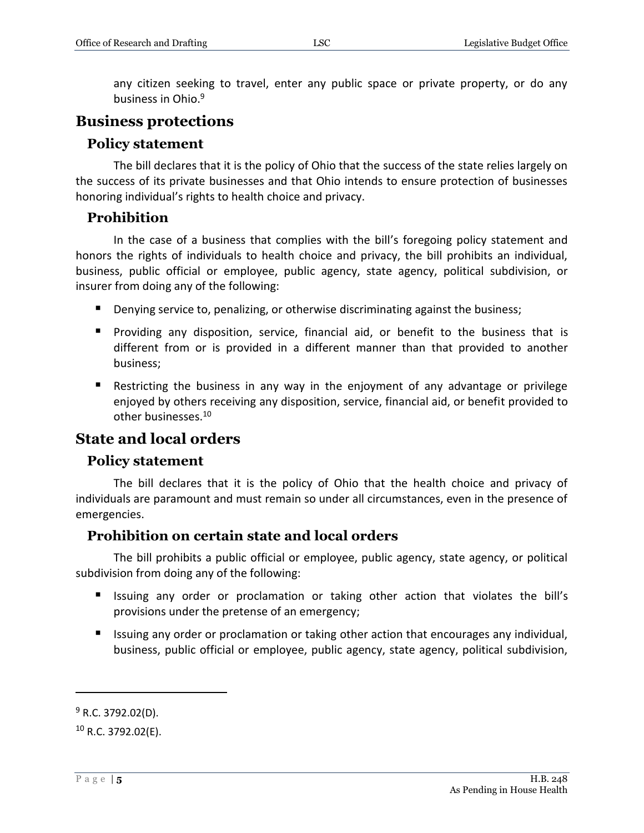any citizen seeking to travel, enter any public space or private property, or do any business in Ohio.<sup>9</sup>

#### **Business protections**

#### **Policy statement**

The bill declares that it is the policy of Ohio that the success of the state relies largely on the success of its private businesses and that Ohio intends to ensure protection of businesses honoring individual's rights to health choice and privacy.

#### **Prohibition**

In the case of a business that complies with the bill's foregoing policy statement and honors the rights of individuals to health choice and privacy, the bill prohibits an individual, business, public official or employee, public agency, state agency, political subdivision, or insurer from doing any of the following:

- **Denying service to, penalizing, or otherwise discriminating against the business;**
- Providing any disposition, service, financial aid, or benefit to the business that is different from or is provided in a different manner than that provided to another business;
- Restricting the business in any way in the enjoyment of any advantage or privilege enjoyed by others receiving any disposition, service, financial aid, or benefit provided to other businesses.<sup>10</sup>

## **State and local orders**

#### **Policy statement**

The bill declares that it is the policy of Ohio that the health choice and privacy of individuals are paramount and must remain so under all circumstances, even in the presence of emergencies.

#### **Prohibition on certain state and local orders**

The bill prohibits a public official or employee, public agency, state agency, or political subdivision from doing any of the following:

- Issuing any order or proclamation or taking other action that violates the bill's provisions under the pretense of an emergency;
- Issuing any order or proclamation or taking other action that encourages any individual, business, public official or employee, public agency, state agency, political subdivision,

 $9$  R.C. 3792.02(D).

 $10$  R.C. 3792.02(E).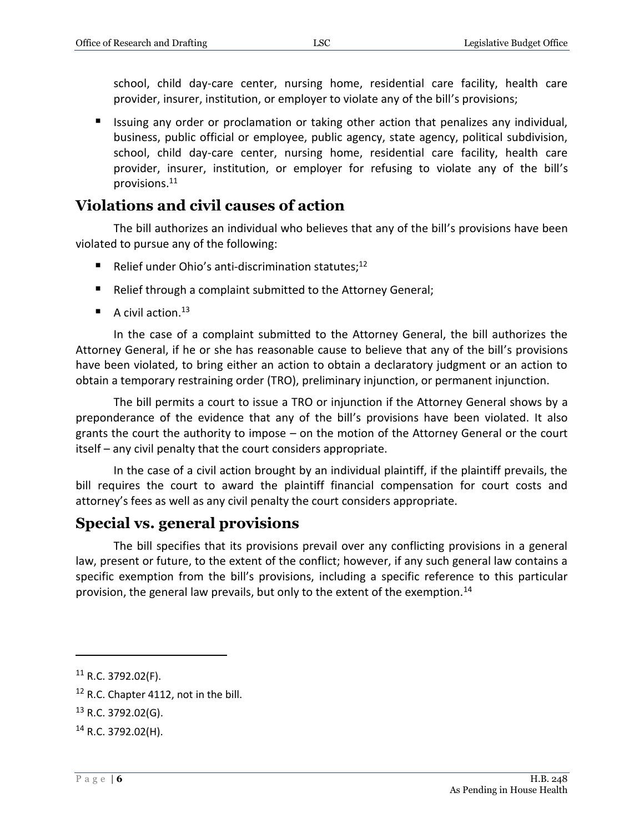school, child day-care center, nursing home, residential care facility, health care provider, insurer, institution, or employer to violate any of the bill's provisions;

 Issuing any order or proclamation or taking other action that penalizes any individual, business, public official or employee, public agency, state agency, political subdivision, school, child day-care center, nursing home, residential care facility, health care provider, insurer, institution, or employer for refusing to violate any of the bill's provisions.<sup>11</sup>

## **Violations and civil causes of action**

The bill authorizes an individual who believes that any of the bill's provisions have been violated to pursue any of the following:

- Relief under Ohio's anti-discrimination statutes; $^{12}$
- Relief through a complaint submitted to the Attorney General;
- A civil action.<sup>13</sup>

In the case of a complaint submitted to the Attorney General, the bill authorizes the Attorney General, if he or she has reasonable cause to believe that any of the bill's provisions have been violated, to bring either an action to obtain a declaratory judgment or an action to obtain a temporary restraining order (TRO), preliminary injunction, or permanent injunction.

The bill permits a court to issue a TRO or injunction if the Attorney General shows by a preponderance of the evidence that any of the bill's provisions have been violated. It also grants the court the authority to impose – on the motion of the Attorney General or the court itself – any civil penalty that the court considers appropriate.

In the case of a civil action brought by an individual plaintiff, if the plaintiff prevails, the bill requires the court to award the plaintiff financial compensation for court costs and attorney's fees as well as any civil penalty the court considers appropriate.

## **Special vs. general provisions**

The bill specifies that its provisions prevail over any conflicting provisions in a general law, present or future, to the extent of the conflict; however, if any such general law contains a specific exemption from the bill's provisions, including a specific reference to this particular provision, the general law prevails, but only to the extent of the exemption.<sup>14</sup>

<sup>11</sup> R.C. 3792.02(F).

<sup>&</sup>lt;sup>12</sup> R.C. Chapter 4112, not in the bill.

 $13$  R.C. 3792.02(G).

 $14$  R.C. 3792.02(H).